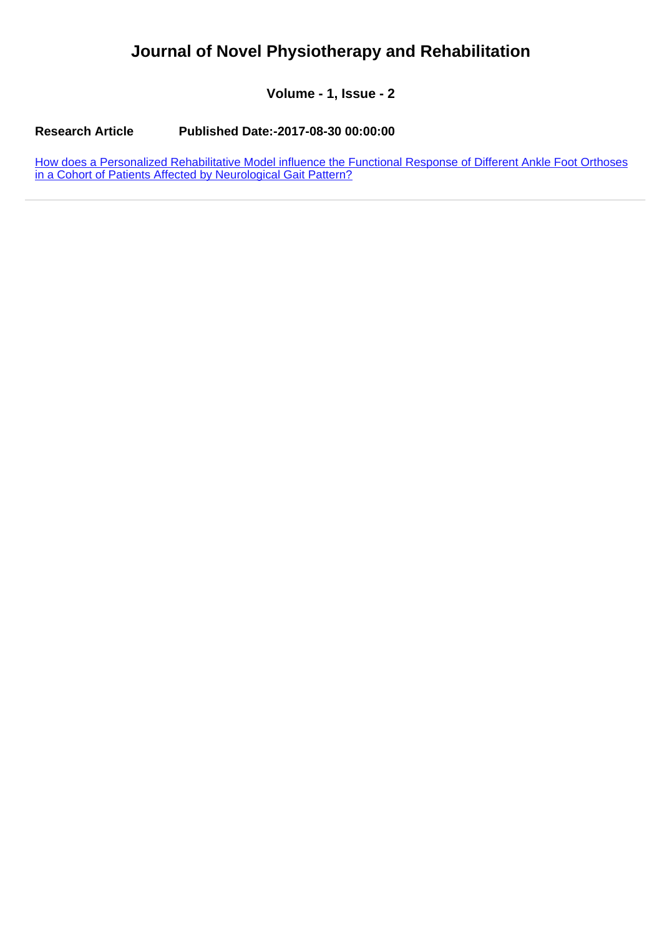## **Journal of Novel Physiotherapy and Rehabilitation**

**Volume - 1, Issue - 2**

**Research Article Published Date:-2017-08-30 00:00:00**

[How does a Personalized Rehabilitative Model influence the Functional Response of Different Ankle Foot Orthoses](https://www.rehabilityjournal.com/articles/jnpr-aid1010.pdf) [in a Cohort of Patients Affected by Neurological Gait Pattern?](https://www.rehabilityjournal.com/articles/jnpr-aid1010.pdf)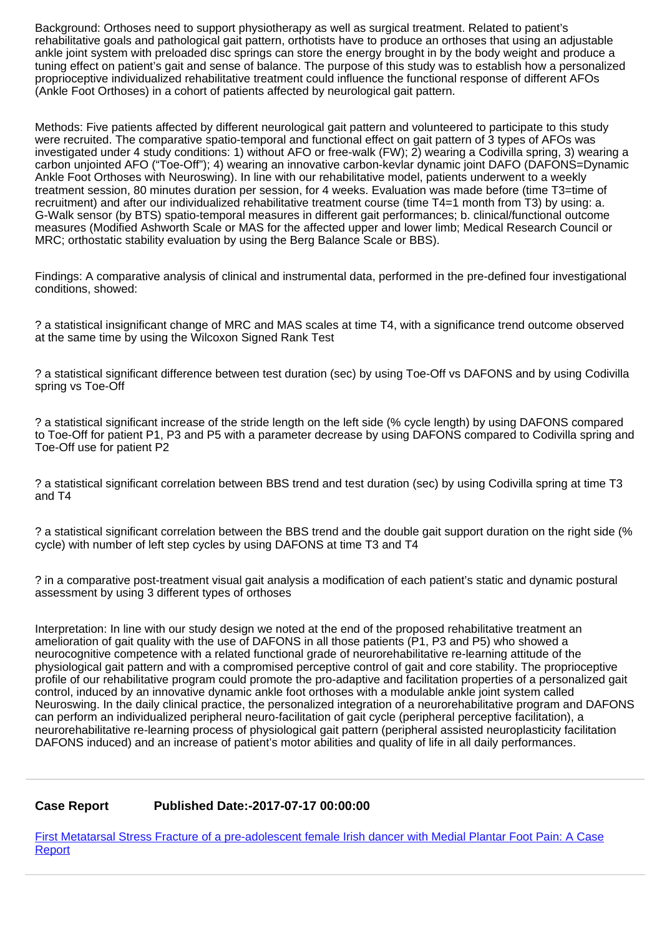Background: Orthoses need to support physiotherapy as well as surgical treatment. Related to patient's rehabilitative goals and pathological gait pattern, orthotists have to produce an orthoses that using an adjustable ankle joint system with preloaded disc springs can store the energy brought in by the body weight and produce a tuning effect on patient's gait and sense of balance. The purpose of this study was to establish how a personalized proprioceptive individualized rehabilitative treatment could influence the functional response of different AFOs (Ankle Foot Orthoses) in a cohort of patients affected by neurological gait pattern.

Methods: Five patients affected by different neurological gait pattern and volunteered to participate to this study were recruited. The comparative spatio-temporal and functional effect on gait pattern of 3 types of AFOs was investigated under 4 study conditions: 1) without AFO or free-walk (FW); 2) wearing a Codivilla spring, 3) wearing a carbon unjointed AFO ("Toe-Off"); 4) wearing an innovative carbon-kevlar dynamic joint DAFO (DAFONS=Dynamic Ankle Foot Orthoses with Neuroswing). In line with our rehabilitative model, patients underwent to a weekly treatment session, 80 minutes duration per session, for 4 weeks. Evaluation was made before (time T3=time of recruitment) and after our individualized rehabilitative treatment course (time T4=1 month from T3) by using: a. G-Walk sensor (by BTS) spatio-temporal measures in different gait performances; b. clinical/functional outcome measures (Modified Ashworth Scale or MAS for the affected upper and lower limb; Medical Research Council or MRC; orthostatic stability evaluation by using the Berg Balance Scale or BBS).

Findings: A comparative analysis of clinical and instrumental data, performed in the pre-defined four investigational conditions, showed:

? a statistical insignificant change of MRC and MAS scales at time T4, with a significance trend outcome observed at the same time by using the Wilcoxon Signed Rank Test

? a statistical significant difference between test duration (sec) by using Toe-Off vs DAFONS and by using Codivilla spring vs Toe-Off

? a statistical significant increase of the stride length on the left side (% cycle length) by using DAFONS compared to Toe-Off for patient P1, P3 and P5 with a parameter decrease by using DAFONS compared to Codivilla spring and Toe-Off use for patient P2

? a statistical significant correlation between BBS trend and test duration (sec) by using Codivilla spring at time T3 and T4

? a statistical significant correlation between the BBS trend and the double gait support duration on the right side (% cycle) with number of left step cycles by using DAFONS at time T3 and T4

? in a comparative post-treatment visual gait analysis a modification of each patient's static and dynamic postural assessment by using 3 different types of orthoses

Interpretation: In line with our study design we noted at the end of the proposed rehabilitative treatment an amelioration of gait quality with the use of DAFONS in all those patients (P1, P3 and P5) who showed a neurocognitive competence with a related functional grade of neurorehabilitative re-learning attitude of the physiological gait pattern and with a compromised perceptive control of gait and core stability. The proprioceptive profile of our rehabilitative program could promote the pro-adaptive and facilitation properties of a personalized gait control, induced by an innovative dynamic ankle foot orthoses with a modulable ankle joint system called Neuroswing. In the daily clinical practice, the personalized integration of a neurorehabilitative program and DAFONS can perform an individualized peripheral neuro-facilitation of gait cycle (peripheral perceptive facilitation), a neurorehabilitative re-learning process of physiological gait pattern (peripheral assisted neuroplasticity facilitation DAFONS induced) and an increase of patient's motor abilities and quality of life in all daily performances.

## **Case Report Published Date:-2017-07-17 00:00:00**

[First Metatarsal Stress Fracture of a pre-adolescent female Irish dancer with Medial Plantar Foot Pain: A Case](https://www.rehabilityjournal.com/articles/jnpr-aid1009.pdf) **[Report](https://www.rehabilityjournal.com/articles/jnpr-aid1009.pdf)**